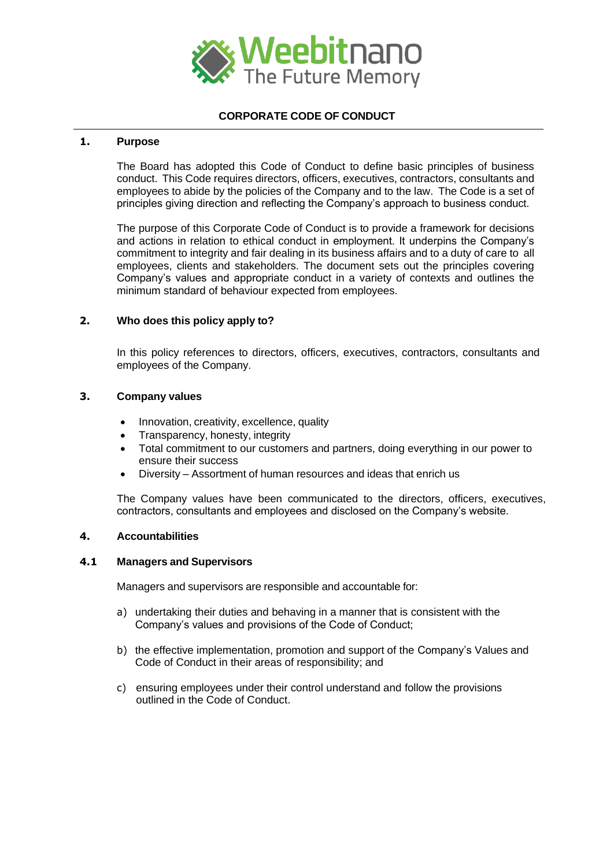

# **CORPORATE CODE OF CONDUCT**

#### **1. Purpose**

The Board has adopted this Code of Conduct to define basic principles of business conduct. This Code requires directors, officers, executives, contractors, consultants and employees to abide by the policies of the Company and to the law. The Code is a set of principles giving direction and reflecting the Company's approach to business conduct.

The purpose of this Corporate Code of Conduct is to provide a framework for decisions and actions in relation to ethical conduct in employment. It underpins the Company's commitment to integrity and fair dealing in its business affairs and to a duty of care to all employees, clients and stakeholders. The document sets out the principles covering Company's values and appropriate conduct in a variety of contexts and outlines the minimum standard of behaviour expected from employees.

## **2. Who does this policy apply to?**

In this policy references to directors, officers, executives, contractors, consultants and employees of the Company.

#### **3. Company values**

- Innovation, creativity, excellence, quality
- Transparency, honesty, integrity
- Total commitment to our customers and partners, doing everything in our power to ensure their success
- Diversity Assortment of human resources and ideas that enrich us

The Company values have been communicated to the directors, officers, executives, contractors, consultants and employees and disclosed on the Company's website.

#### **4. Accountabilities**

#### **4.1 Managers and Supervisors**

Managers and supervisors are responsible and accountable for:

- a) undertaking their duties and behaving in a manner that is consistent with the Company's values and provisions of the Code of Conduct;
- b) the effective implementation, promotion and support of the Company's Values and Code of Conduct in their areas of responsibility; and
- c) ensuring employees under their control understand and follow the provisions outlined in the Code of Conduct.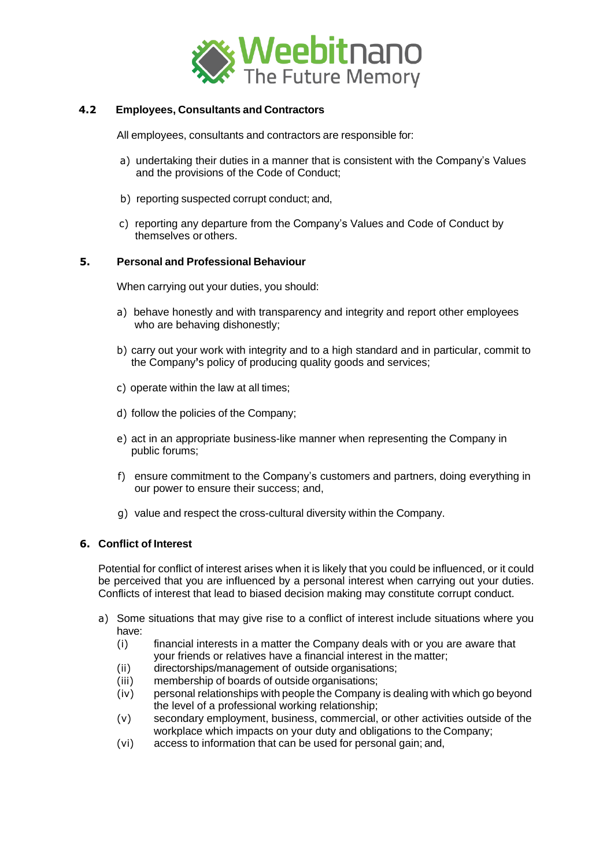

# **4.2 Employees, Consultants and Contractors**

All employees, consultants and contractors are responsible for:

- a) undertaking their duties in a manner that is consistent with the Company's Values and the provisions of the Code of Conduct;
- b) reporting suspected corrupt conduct; and,
- c) reporting any departure from the Company's Values and Code of Conduct by themselves or others.

## **5. Personal and Professional Behaviour**

When carrying out your duties, you should:

- a) behave honestly and with transparency and integrity and report other employees who are behaving dishonestly;
- b) carry out your work with integrity and to a high standard and in particular, commit to the Company**'**s policy of producing quality goods and services;
- c) operate within the law at all times;
- d) follow the policies of the Company;
- e) act in an appropriate business-like manner when representing the Company in public forums;
- f) ensure commitment to the Company's customers and partners, doing everything in our power to ensure their success; and,
- g) value and respect the cross-cultural diversity within the Company.

## **6. Conflict of Interest**

Potential for conflict of interest arises when it is likely that you could be influenced, or it could be perceived that you are influenced by a personal interest when carrying out your duties. Conflicts of interest that lead to biased decision making may constitute corrupt conduct.

- a) Some situations that may give rise to a conflict of interest include situations where you have:
	- (i) financial interests in a matter the Company deals with or you are aware that your friends or relatives have a financial interest in the matter;
	- (ii) directorships/management of outside organisations;
	- (iii) membership of boards of outside organisations;
	- (iv) personal relationships with people the Company is dealing with which go beyond the level of a professional working relationship;
	- (v) secondary employment, business, commercial, or other activities outside of the workplace which impacts on your duty and obligations to the Company;
	- (vi) access to information that can be used for personal gain; and,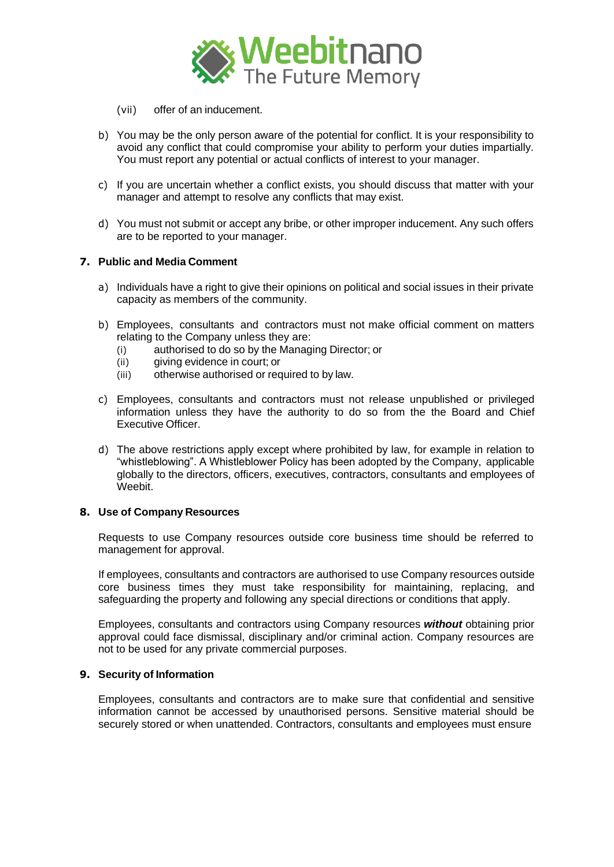

- (vii) offer of an inducement.
- b) You may be the only person aware of the potential for conflict. It is your responsibility to avoid any conflict that could compromise your ability to perform your duties impartially. You must report any potential or actual conflicts of interest to your manager.
- c) If you are uncertain whether a conflict exists, you should discuss that matter with your manager and attempt to resolve any conflicts that may exist.
- d) You must not submit or accept any bribe, or other improper inducement. Any such offers are to be reported to your manager.

## **7. Public and Media Comment**

- a) Individuals have a right to give their opinions on political and social issues in their private capacity as members of the community.
- b) Employees, consultants and contractors must not make official comment on matters relating to the Company unless they are:
	- (i) authorised to do so by the Managing Director; or
	- (ii) giving evidence in court; or
	- (iii) otherwise authorised or required to by law.
- c) Employees, consultants and contractors must not release unpublished or privileged information unless they have the authority to do so from the the Board and Chief Executive Officer.
- d) The above restrictions apply except where prohibited by law, for example in relation to "whistleblowing". A Whistleblower Policy has been adopted by the Company, applicable globally to the directors, officers, executives, contractors, consultants and employees of Weebit.

## **8. Use of Company Resources**

Requests to use Company resources outside core business time should be referred to management for approval.

If employees, consultants and contractors are authorised to use Company resources outside core business times they must take responsibility for maintaining, replacing, and safeguarding the property and following any special directions or conditions that apply.

Employees, consultants and contractors using Company resources *without* obtaining prior approval could face dismissal, disciplinary and/or criminal action. Company resources are not to be used for any private commercial purposes.

## **9. Security of Information**

Employees, consultants and contractors are to make sure that confidential and sensitive information cannot be accessed by unauthorised persons. Sensitive material should be securely stored or when unattended. Contractors, consultants and employees must ensure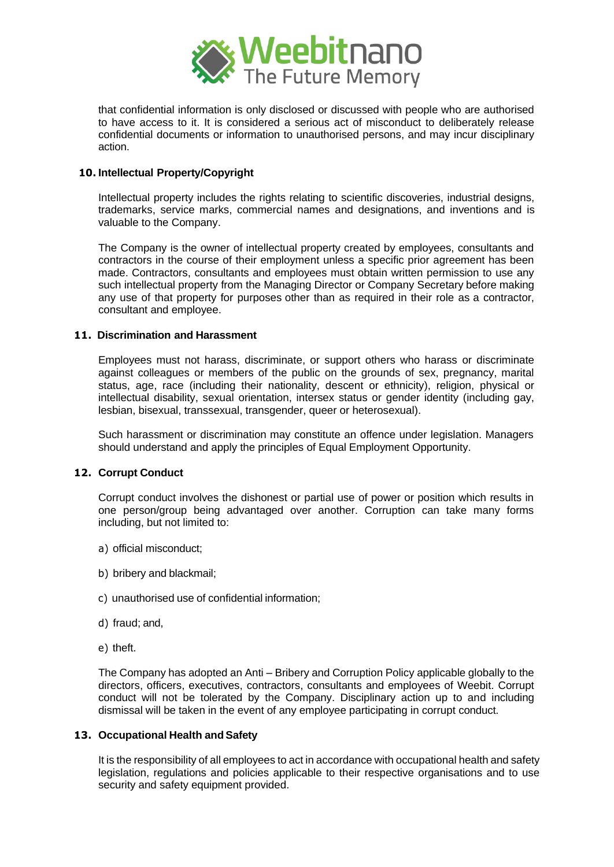

that confidential information is only disclosed or discussed with people who are authorised to have access to it. It is considered a serious act of misconduct to deliberately release confidential documents or information to unauthorised persons, and may incur disciplinary action.

# **10. Intellectual Property/Copyright**

Intellectual property includes the rights relating to scientific discoveries, industrial designs, trademarks, service marks, commercial names and designations, and inventions and is valuable to the Company.

The Company is the owner of intellectual property created by employees, consultants and contractors in the course of their employment unless a specific prior agreement has been made. Contractors, consultants and employees must obtain written permission to use any such intellectual property from the Managing Director or Company Secretary before making any use of that property for purposes other than as required in their role as a contractor, consultant and employee.

## **11. Discrimination and Harassment**

Employees must not harass, discriminate, or support others who harass or discriminate against colleagues or members of the public on the grounds of sex, pregnancy, marital status, age, race (including their nationality, descent or ethnicity), religion, physical or intellectual disability, sexual orientation, intersex status or gender identity (including gay, lesbian, bisexual, transsexual, transgender, queer or heterosexual).

Such harassment or discrimination may constitute an offence under legislation. Managers should understand and apply the principles of Equal Employment Opportunity.

## **12. Corrupt Conduct**

Corrupt conduct involves the dishonest or partial use of power or position which results in one person/group being advantaged over another. Corruption can take many forms including, but not limited to:

- a) official misconduct;
- b) bribery and blackmail;
- c) unauthorised use of confidential information;
- d) fraud; and,
- e) theft.

The Company has adopted an Anti – Bribery and Corruption Policy applicable globally to the directors, officers, executives, contractors, consultants and employees of Weebit. Corrupt conduct will not be tolerated by the Company. Disciplinary action up to and including dismissal will be taken in the event of any employee participating in corrupt conduct.

## **13. Occupational Health andSafety**

It is the responsibility of all employees to act in accordance with occupational health and safety legislation, regulations and policies applicable to their respective organisations and to use security and safety equipment provided.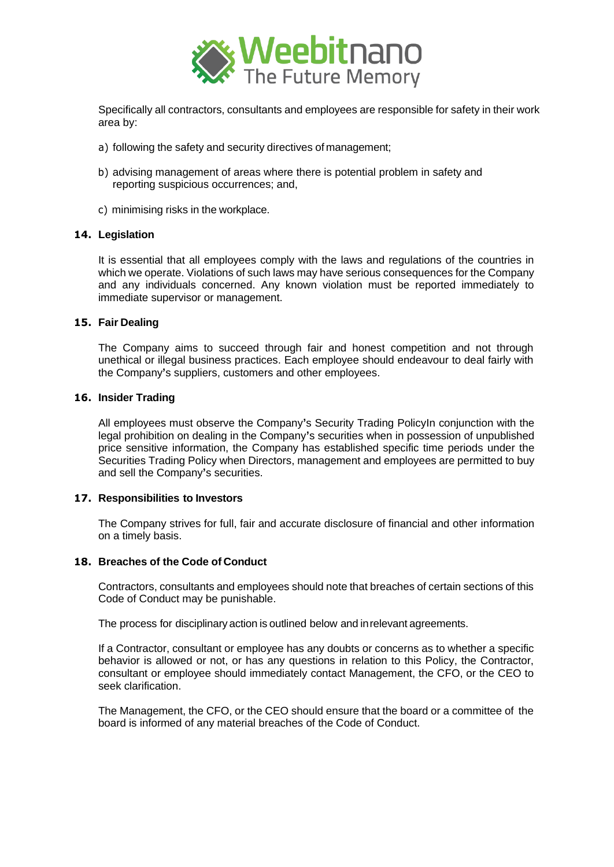

Specifically all contractors, consultants and employees are responsible for safety in their work area by:

- a) following the safety and security directives of management;
- b) advising management of areas where there is potential problem in safety and reporting suspicious occurrences; and,
- c) minimising risks in the workplace.

#### **14. Legislation**

It is essential that all employees comply with the laws and regulations of the countries in which we operate. Violations of such laws may have serious consequences for the Company and any individuals concerned. Any known violation must be reported immediately to immediate supervisor or management.

#### **15. Fair Dealing**

The Company aims to succeed through fair and honest competition and not through unethical or illegal business practices. Each employee should endeavour to deal fairly with the Company**'**s suppliers, customers and other employees.

#### **16. Insider Trading**

All employees must observe the Company**'**s Security Trading PolicyIn conjunction with the legal prohibition on dealing in the Company**'**s securities when in possession of unpublished price sensitive information, the Company has established specific time periods under the Securities Trading Policy when Directors, management and employees are permitted to buy and sell the Company**'**s securities.

#### **17. Responsibilities to Investors**

The Company strives for full, fair and accurate disclosure of financial and other information on a timely basis.

# **18. Breaches of the Code of Conduct**

Contractors, consultants and employees should note that breaches of certain sections of this Code of Conduct may be punishable.

The process for disciplinary action is outlined below and inrelevant agreements.

If a Contractor, consultant or employee has any doubts or concerns as to whether a specific behavior is allowed or not, or has any questions in relation to this Policy, the Contractor, consultant or employee should immediately contact Management, the CFO, or the CEO to seek clarification.

The Management, the CFO, or the CEO should ensure that the board or a committee of the board is informed of any material breaches of the Code of Conduct.